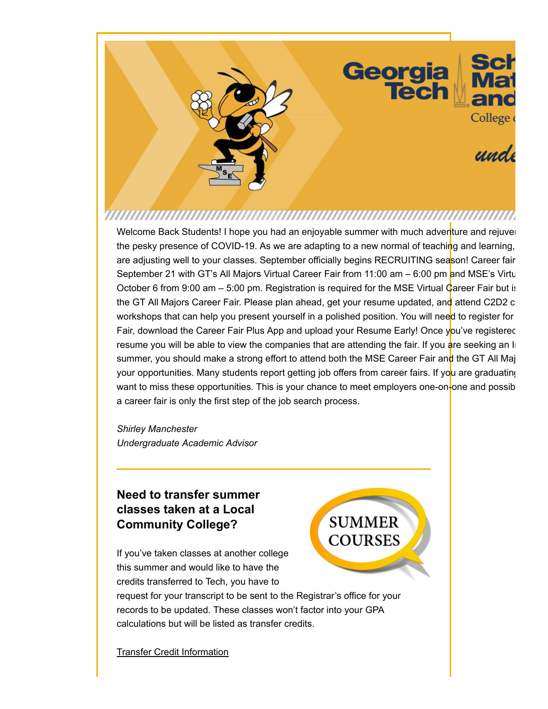Welcome Back Students! I hope you had an enjoyable summer with much adventure and rejuven the pesky presence of COVID-19. As we are adapting to a new normal of teaching and learning, are adjusting well to your classes. September officially begins RECRUITING season! Career fair September 21 with GT's All Majors Virtual Career Fair from 11:00 am – 6:00 pm and MSE's Virtu October 6 from 9:00 am – 5:00 pm. Registration is required for the MSE Virtual Career Fair but is the GT All Majors Career Fair. Please plan ahead, get your resume updated, and attend C2D2 c workshops that can help you present yourself in a polished position. You will need to register for Fair, download the Career Fair Plus App and upload your Resume Early! Once you've registered resume you will be able to view the companies that are attending the fair. If you are seeking an In summer, you should make a strong effort to attend both the MSE Career Fair and the GT All Maj your opportunities. Many students report getting job offers from career fairs. If you are graduating want to miss these opportunities. This is your chance to meet employers one-on-one and possibla career fair is only the first step of the job search process.

*Shirley Manchester Undergraduate Academic Advisor*

### **Need to transfer summer classes taken at a Local Community College?**

If you've taken classes at another college this summer and would like to have the credits transferred to Tech, you have to

request for your transcript to be sent to the Registrar's office for your records to be updated. These classes won't factor into your GPA calculations but will be listed as transfer credits.

Transfer Credit Information

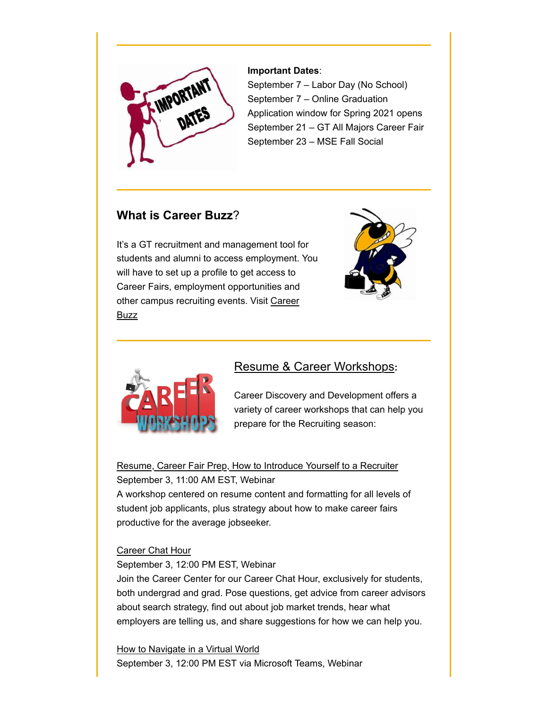

#### **Important Dates**:

September 7 – Labor Day (No School) September 7 – Online Graduation Application window for Spring 2021 opens September 21 – GT All Majors Career Fair September 23 – MSE Fall Social

### **What is Career Buzz**?

It's a GT recruitment and management tool for students and alumni to access employment. You will have to set up a profile to get access to Career Fairs, employment opportunities and other campus recruiting events. Visit Career **Buzz** 





### Resume & Career Workshops**:**

Career Discovery and Development offers a variety of career workshops that can help you prepare for the Recruiting season:

Resume, Career Fair Prep, How to Introduce Yourself to a Recruiter September 3, 11:00 AM EST, Webinar

A workshop centered on resume content and formatting for all levels of student job applicants, plus strategy about how to make career fairs productive for the average jobseeker.

#### Career Chat Hour

September 3, 12:00 PM EST, Webinar

Join the Career Center for our Career Chat Hour, exclusively for students, both undergrad and grad. Pose questions, get advice from career advisors about search strategy, find out about job market trends, hear what employers are telling us, and share suggestions for how we can help you.

**How to Navigate in a Virtual World** September 3, 12:00 PM EST via Microsoft Teams, Webinar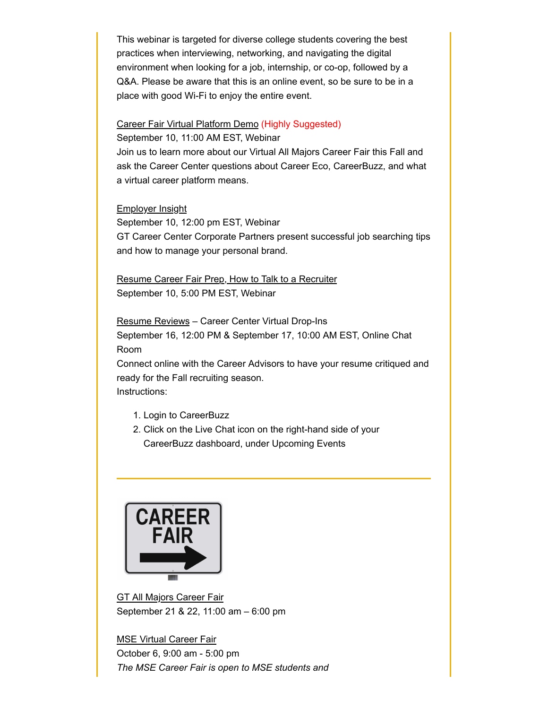This webinar is targeted for diverse college students covering the best practices when interviewing, networking, and navigating the digital environment when looking for a job, internship, or co-op, followed by a Q&A. Please be aware that this is an online event, so be sure to be in a place with good Wi-Fi to enjoy the entire event.

## Career Fair Virtual Platform Demo (Highly Suggested)

September 10, 11:00 AM EST, Webinar Join us to learn more about our Virtual All Majors Career Fair this Fall and ask the Career Center questions about Career Eco, CareerBuzz, and what a virtual career platform means.

#### Employer Insight

September 10, 12:00 pm EST, Webinar GT Career Center Corporate Partners present successful job searching tips and how to manage your personal brand.

Resume Career Fair Prep, How to Talk to a Recruiter September 10, 5:00 PM EST, Webinar

Resume Reviews – Career Center Virtual Drop-Ins September 16, 12:00 PM & September 17, 10:00 AM EST, Online Chat Room

Connect online with the Career Advisors to have your resume critiqued and ready for the Fall recruiting season. Instructions:

- 1. Login to CareerBuzz
- 2. Click on the Live Chat icon on the right-hand side of your CareerBuzz dashboard, under Upcoming Events



GT All Majors Career Fair September 21 & 22, 11:00 am – 6:00 pm

MSE Virtual Career Fair October 6, 9:00 am - 5:00 pm *The MSE Career Fair is open to MSE students and*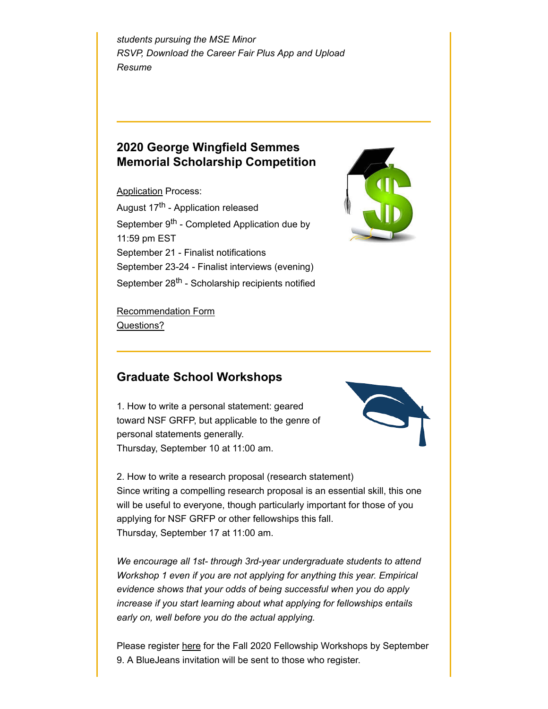*students pursuing the MSE Minor RSVP, Download the Career Fair Plus App and Upload Resume*

### **2020 George Wingfield Semmes Memorial Scholarship Competition**

**Application Process:** August 17<sup>th</sup> - Application released September 9<sup>th</sup> - Completed Application due by 11:59 pm EST September 21 - Finalist notifications September 23-24 - Finalist interviews (evening) September 28<sup>th</sup> - Scholarship recipients notified



Recommendation Form Questions?

### **Graduate School Workshops**

1. How to write a personal statement: geared toward NSF GRFP, but applicable to the genre of personal statements generally. Thursday, September 10 at 11:00 am.



2. How to write a research proposal (research statement) Since writing a compelling research proposal is an essential skill, this one will be useful to everyone, though particularly important for those of you applying for NSF GRFP or other fellowships this fall. Thursday, September 17 at 11:00 am.

*We encourage all 1st- through 3rd-year undergraduate students to attend Workshop 1 even if you are not applying for anything this year. Empirical evidence shows that your odds of being successful when you do apply increase if you start learning about what applying for fellowships entails early on, well before you do the actual applying.*

Please register here for the Fall 2020 Fellowship Workshops by September 9. A BlueJeans invitation will be sent to those who register.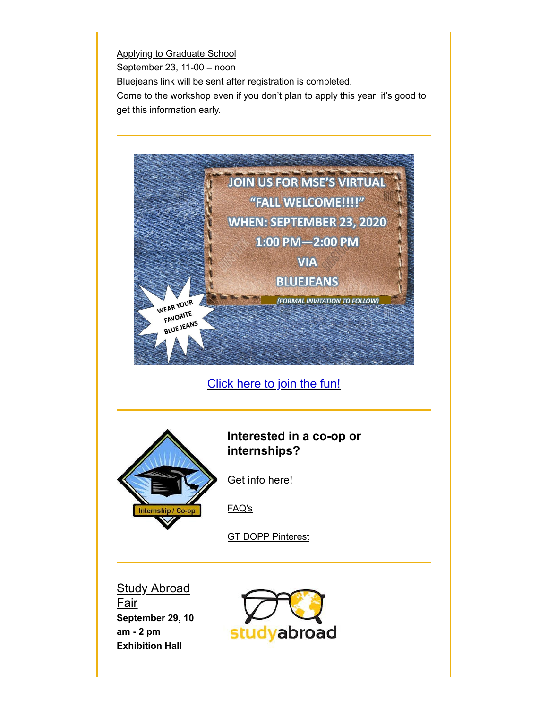**Applying to Graduate School** September 23, 11-00 – noon Bluejeans link will be sent after registration is completed. Come to the workshop even if you don't plan to apply this year; it's good to get this information early.



Click here to join the fun!



### **Interested in a co-op or internships?**

Get info here!

FAQ's

**GT DOPP Pinterest** 

**Study Abroad** Fair **September 29, 10 am - 2 pm Exhibition Hall**

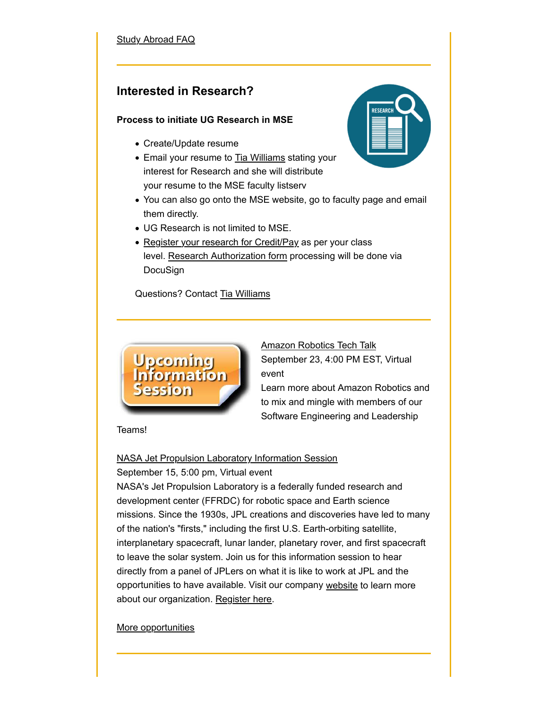#### **Study Abroad FAQ**

### **Interested in Research?**

#### **Process to initiate UG Research in MSE**

- Create/Update resume
- Email your resume to **Tia Williams** stating your interest for Research and she will distribute your resume to the MSE faculty listserv
- You can also go onto the MSE website, go to faculty page and email them directly.
- UG Research is not limited to MSE.
- Register your research for Credit/Pay as per your class level. Research Authorization form processing will be done via DocuSign

Questions? Contact Tia Williams



Amazon Robotics Tech Talk September 23, 4:00 PM EST, Virtual event Learn more about Amazon Robotics and to mix and mingle with members of our Software Engineering and Leadership

Teams!

### NASA Jet Propulsion Laboratory Information Session

#### September 15, 5:00 pm, Virtual event

NASA's Jet Propulsion Laboratory is a federally funded research and development center (FFRDC) for robotic space and Earth science missions. Since the 1930s, JPL creations and discoveries have led to many of the nation's "firsts," including the first U.S. Earth-orbiting satellite, interplanetary spacecraft, lunar lander, planetary rover, and first spacecraft to leave the solar system. Join us for this information session to hear directly from a panel of JPLers on what it is like to work at JPL and the opportunities to have available. Visit our company website to learn more about our organization. Register here.

More opportunities

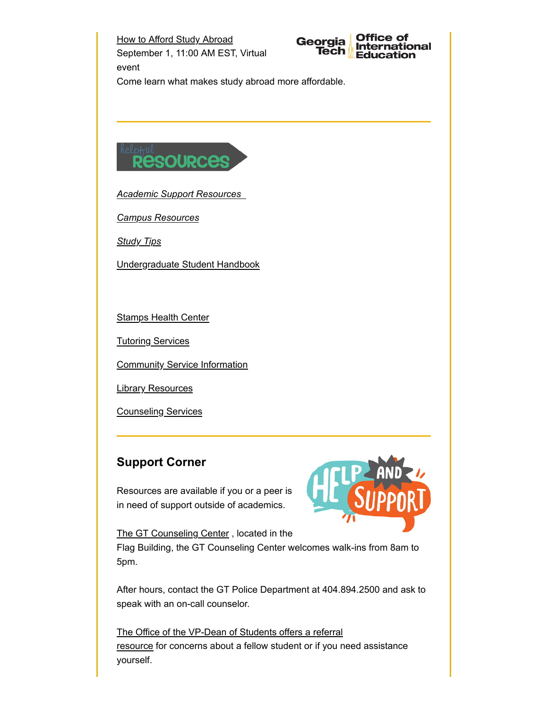How to Afford Study Abroad Georgia September 1, 11:00 AM EST, Virtual Tech event Come learn what makes study abroad more affordable.



*Academic Support Resources*

*Campus Resources*

*Study Tips*

Undergraduate Student Handbook

**Stamps Health Center** 

Tutoring Services

**Community Service Information** 

Library Resources

Counseling Services

## **Support Corner**

Resources are available if you or a peer is in need of support outside of academics.



**Office of** 

Education

ernational

The GT Counseling Center , located in the Flag Building, the GT Counseling Center welcomes walk-ins from 8am to 5pm.

After hours, contact the GT Police Department at 404.894.2500 and ask to speak with an on-call counselor.

The Office of the VP-Dean of Students offers a referral resource for concerns about a fellow student or if you need assistance yourself.